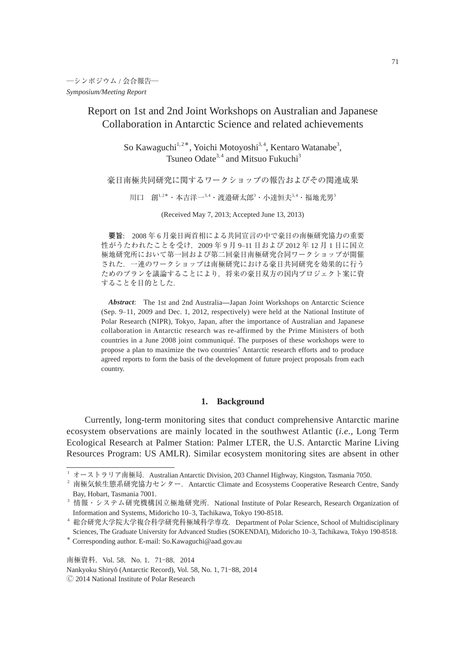Report on 1st and 2nd Joint Workshops on Australian and Japanese Collaboration in Antarctic Science and related achievements

> So Kawaguchi<sup>1,2\*</sup>, Yoichi Motoyoshi<sup>3,4</sup>, Kentaro Watanabe<sup>3</sup>, Tsuneo Odate<sup>3,4</sup> and Mitsuo Fukuchi<sup>3</sup>

豪日南極共同研究に関するワークショップの報告およびその関連成果

川口 創 $^{1,2}$ \* ・本吉洋一 $^{3,4}$ ・渡邉研太郎 $^3$ ・小達恒夫 $^{3,4}$ ・福地光男 $^3$ 

(Received May 7, 2013; Accepted June 13, 2013)

**要旨**: 2008 年 6 月豪日両首相による共同宣言の中で豪日の南極研究協力の重要 性がうたわれたことを受け,2009 年 9 月 9–11 日および 2012 年 12 月 1 日に国立 極地研究所において第一回および第二回豪日南極研究合同ワークショップが開催 された.一連のワークショップは南極研究における豪日共同研究を効果的に行う ためのプランを議論することにより,将来の豪日双方の国内プロジェクト案に資 することを目的とした.

*Abstract*: The 1st and 2nd Australia—Japan Joint Workshops on Antarctic Science (Sep. 9–11, 2009 and Dec. 1, 2012, respectively) were held at the National Institute of Polar Research (NIPR), Tokyo, Japan, after the importance of Australian and Japanese collaboration in Antarctic research was re-affirmed by the Prime Ministers of both countries in a June 2008 joint communiqué. The purposes of these workshops were to propose a plan to maximize the two countries' Antarctic research efforts and to produce agreed reports to form the basis of the development of future project proposals from each country.

# **1. Background**

 Currently, long-term monitoring sites that conduct comprehensive Antarctic marine ecosystem observations are mainly located in the southwest Atlantic (*i.e.*, Long Term Ecological Research at Palmer Station: Palmer LTER, the U.S. Antarctic Marine Living Resources Program: US AMLR). Similar ecosystem monitoring sites are absent in other

\* Corresponding author. E-mail: So.Kawaguchi@aad.gov.au

南極資料, Vol. 58, No. 1, 71-88, 2014 Nankyoku Shiry^o (Antarctic Record), Vol. 58, No. 1, 71-88, 2014 Ⓒ 2014 National Institute of Polar Research

<sup>&</sup>lt;sup>1</sup> オーストラリア南極局. Australian Antarctic Division, 203 Channel Highway, Kingston, Tasmania 7050.

<sup>&</sup>lt;sup>2</sup> 南極気候生態系研究協力センター. Antarctic Climate and Ecosystems Cooperative Research Centre, Sandy Bay, Hobart, Tasmania 7001.

<sup>&</sup>lt;sup>3</sup> 情報・システム研究機構国立極地研究所. National Institute of Polar Research, Research Organization of Information and Systems, Midoricho 10–3, Tachikawa, Tokyo 190-8518.

<sup>4</sup> 総合研究大学院大学複合科学研究科極域科学専攻.Department of Polar Science, School of Multidisciplinary Sciences, The Graduate University for Advanced Studies (SOKENDAI), Midoricho 10–3, Tachikawa, Tokyo 190-8518.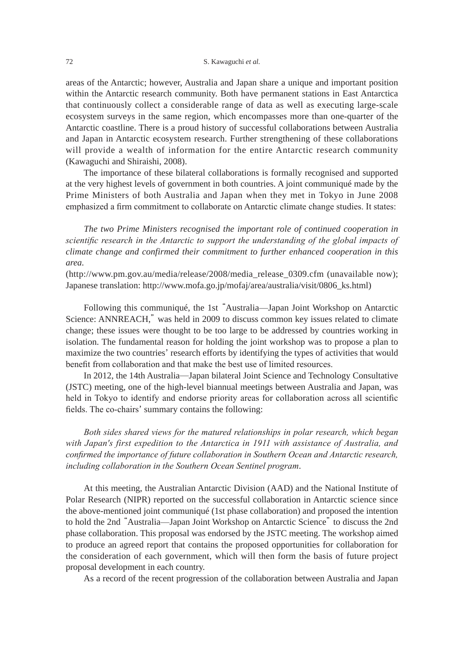areas of the Antarctic; however, Australia and Japan share a unique and important position within the Antarctic research community. Both have permanent stations in East Antarctica that continuously collect a considerable range of data as well as executing large-scale ecosystem surveys in the same region, which encompasses more than one-quarter of the Antarctic coastline. There is a proud history of successful collaborations between Australia and Japan in Antarctic ecosystem research. Further strengthening of these collaborations will provide a wealth of information for the entire Antarctic research community (Kawaguchi and Shiraishi, 2008).

 The importance of these bilateral collaborations is formally recognised and supported at the very highest levels of government in both countries. A joint communiqué made by the Prime Ministers of both Australia and Japan when they met in Tokyo in June 2008 emphasized a firm commitment to collaborate on Antarctic climate change studies. It states:

 *The two Prime Ministers recognised the important role of continued cooperation in scientific research in the Antarctic to support the understanding of the global impacts of climate change and confirmed their commitment to further enhanced cooperation in this area.*

(http://www.pm.gov.au/media/release/2008/media\_release\_0309.cfm (unavailable now); Japanese translation: http://www.mofa.go.jp/mofaj/area/australia/visit/0806\_ks.html)

 Following this communiqué, the 1st "Australia─Japan Joint Workshop on Antarctic Science: ANNREACH," was held in 2009 to discuss common key issues related to climate change; these issues were thought to be too large to be addressed by countries working in isolation. The fundamental reason for holding the joint workshop was to propose a plan to maximize the two countries' research efforts by identifying the types of activities that would benefit from collaboration and that make the best use of limited resources.

 In 2012, the 14th Australia─Japan bilateral Joint Science and Technology Consultative (JSTC) meeting, one of the high-level biannual meetings between Australia and Japan, was held in Tokyo to identify and endorse priority areas for collaboration across all scientific fields. The co-chairs' summary contains the following:

 *Both sides shared views for the matured relationships in polar research, which began with Japan's first expedition to the Antarctica in 1911 with assistance of Australia, and confirmed the importance of future collaboration in Southern Ocean and Antarctic research, including collaboration in the Southern Ocean Sentinel program*.

 At this meeting, the Australian Antarctic Division (AAD) and the National Institute of Polar Research (NIPR) reported on the successful collaboration in Antarctic science since the above-mentioned joint communiqué (1st phase collaboration) and proposed the intention to hold the 2nd "Australia─Japan Joint Workshop on Antarctic Science" to discuss the 2nd phase collaboration. This proposal was endorsed by the JSTC meeting. The workshop aimed to produce an agreed report that contains the proposed opportunities for collaboration for the consideration of each government, which will then form the basis of future project proposal development in each country.

As a record of the recent progression of the collaboration between Australia and Japan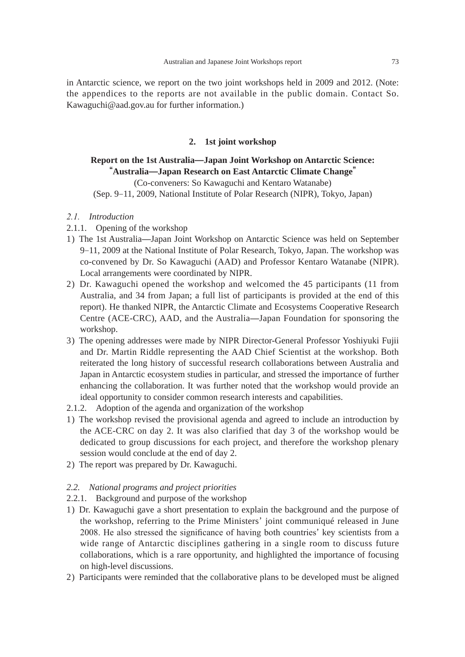in Antarctic science, we report on the two joint workshops held in 2009 and 2012. (Note: the appendices to the reports are not available in the public domain. Contact So. Kawaguchi@aad.gov.au for further information.)

# **2. 1st joint workshop**

# **Report on the 1st Australia̶Japan Joint Workshop on Antarctic Science: "Australia̶Japan Research on East Antarctic Climate Change"**

(Co-conveners: So Kawaguchi and Kentaro Watanabe) (Sep. 9–11, 2009, National Institute of Polar Research (NIPR), Tokyo, Japan)

# *2.1. Introduction*

- 2.1.1. Opening of the workshop
- 1) The 1st Australia—Japan Joint Workshop on Antarctic Science was held on September 9–11, 2009 at the National Institute of Polar Research, Tokyo, Japan. The workshop was co-convened by Dr. So Kawaguchi (AAD) and Professor Kentaro Watanabe (NIPR). Local arrangements were coordinated by NIPR.
- 2) Dr. Kawaguchi opened the workshop and welcomed the 45 participants (11 from Australia, and 34 from Japan; a full list of participants is provided at the end of this report). He thanked NIPR, the Antarctic Climate and Ecosystems Cooperative Research Centre (ACE-CRC), AAD, and the Australia—Japan Foundation for sponsoring the workshop.
- 3) The opening addresses were made by NIPR Director-General Professor Yoshiyuki Fujii and Dr. Martin Riddle representing the AAD Chief Scientist at the workshop. Both reiterated the long history of successful research collaborations between Australia and Japan in Antarctic ecosystem studies in particular, and stressed the importance of further enhancing the collaboration. It was further noted that the workshop would provide an ideal opportunity to consider common research interests and capabilities.
- 2.1.2. Adoption of the agenda and organization of the workshop
- 1) The workshop revised the provisional agenda and agreed to include an introduction by the ACE-CRC on day 2. It was also clarified that day 3 of the workshop would be dedicated to group discussions for each project, and therefore the workshop plenary session would conclude at the end of day 2.
- 2) The report was prepared by Dr. Kawaguchi.

### *2.2. National programs and project priorities*

- 2.2.1. Background and purpose of the workshop
- 1) Dr. Kawaguchi gave a short presentation to explain the background and the purpose of the workshop, referring to the Prime Ministers' joint communiqué released in June 2008. He also stressed the significance of having both countries' key scientists from a wide range of Antarctic disciplines gathering in a single room to discuss future collaborations, which is a rare opportunity, and highlighted the importance of focusing on high-level discussions.
- 2) Participants were reminded that the collaborative plans to be developed must be aligned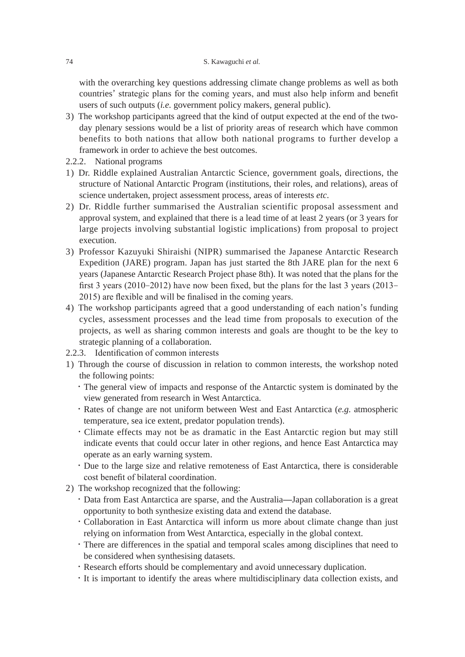with the overarching key questions addressing climate change problems as well as both countries' strategic plans for the coming years, and must also help inform and benefit users of such outputs (*i.e.* government policy makers, general public).

- 3) The workshop participants agreed that the kind of output expected at the end of the twoday plenary sessions would be a list of priority areas of research which have common benefits to both nations that allow both national programs to further develop a framework in order to achieve the best outcomes.
- 2.2.2. National programs
- 1) Dr. Riddle explained Australian Antarctic Science, government goals, directions, the structure of National Antarctic Program (institutions, their roles, and relations), areas of science undertaken, project assessment process, areas of interests *etc*.
- 2) Dr. Riddle further summarised the Australian scientific proposal assessment and approval system, and explained that there is a lead time of at least 2 years (or 3 years for large projects involving substantial logistic implications) from proposal to project execution.
- 3) Professor Kazuyuki Shiraishi (NIPR) summarised the Japanese Antarctic Research Expedition (JARE) program. Japan has just started the 8th JARE plan for the next 6 years (Japanese Antarctic Research Project phase 8th). It was noted that the plans for the first 3 years (2010–2012) have now been fixed, but the plans for the last 3 years (2013– 2015) are flexible and will be finalised in the coming years.
- 4) The workshop participants agreed that a good understanding of each nation's funding cycles, assessment processes and the lead time from proposals to execution of the projects, as well as sharing common interests and goals are thought to be the key to strategic planning of a collaboration.
- 2.2.3. Identification of common interests
- 1) Through the course of discussion in relation to common interests, the workshop noted the following points:
	- ・The general view of impacts and response of the Antarctic system is dominated by the view generated from research in West Antarctica.
	- ・Rates of change are not uniform between West and East Antarctica (*e.g.* atmospheric temperature, sea ice extent, predator population trends).
	- ・Climate effects may not be as dramatic in the East Antarctic region but may still indicate events that could occur later in other regions, and hence East Antarctica may operate as an early warning system.
	- ・Due to the large size and relative remoteness of East Antarctica, there is considerable cost benefit of bilateral coordination.
- 2) The workshop recognized that the following:
	- ・Data from East Antarctica are sparse, and the Australia—Japan collaboration is a great opportunity to both synthesize existing data and extend the database.
	- ・Collaboration in East Antarctica will inform us more about climate change than just relying on information from West Antarctica, especially in the global context.
	- ・There are differences in the spatial and temporal scales among disciplines that need to be considered when synthesising datasets.
	- ・Research efforts should be complementary and avoid unnecessary duplication.
	- ・It is important to identify the areas where multidisciplinary data collection exists, and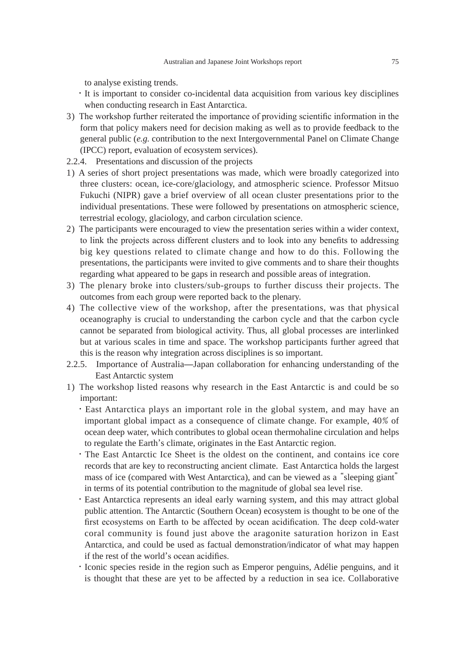to analyse existing trends.

- ・It is important to consider co-incidental data acquisition from various key disciplines when conducting research in East Antarctica.
- 3) The workshop further reiterated the importance of providing scientific information in the form that policy makers need for decision making as well as to provide feedback to the general public (*e.g.* contribution to the next Intergovernmental Panel on Climate Change (IPCC) report, evaluation of ecosystem services).
- 2.2.4. Presentations and discussion of the projects
- 1) A series of short project presentations was made, which were broadly categorized into three clusters: ocean, ice-core/glaciology, and atmospheric science. Professor Mitsuo Fukuchi (NIPR) gave a brief overview of all ocean cluster presentations prior to the individual presentations. These were followed by presentations on atmospheric science, terrestrial ecology, glaciology, and carbon circulation science.
- 2) The participants were encouraged to view the presentation series within a wider context, to link the projects across different clusters and to look into any benefits to addressing big key questions related to climate change and how to do this. Following the presentations, the participants were invited to give comments and to share their thoughts regarding what appeared to be gaps in research and possible areas of integration.
- 3) The plenary broke into clusters/sub-groups to further discuss their projects. The outcomes from each group were reported back to the plenary.
- 4) The collective view of the workshop, after the presentations, was that physical oceanography is crucial to understanding the carbon cycle and that the carbon cycle cannot be separated from biological activity. Thus, all global processes are interlinked but at various scales in time and space. The workshop participants further agreed that this is the reason why integration across disciplines is so important.
- 2.2.5. Importance of Australia—Japan collaboration for enhancing understanding of the East Antarctic system
- 1) The workshop listed reasons why research in the East Antarctic is and could be so important:
	- ・East Antarctica plays an important role in the global system, and may have an important global impact as a consequence of climate change. For example, 40**%** of ocean deep water, which contributes to global ocean thermohaline circulation and helps to regulate the Earth's climate, originates in the East Antarctic region.
	- ・The East Antarctic Ice Sheet is the oldest on the continent, and contains ice core records that are key to reconstructing ancient climate. East Antarctica holds the largest mass of ice (compared with West Antarctica), and can be viewed as a "sleeping giant" in terms of its potential contribution to the magnitude of global sea level rise.
	- ・East Antarctica represents an ideal early warning system, and this may attract global public attention. The Antarctic (Southern Ocean) ecosystem is thought to be one of the first ecosystems on Earth to be affected by ocean acidification. The deep cold-water coral community is found just above the aragonite saturation horizon in East Antarctica, and could be used as factual demonstration/indicator of what may happen if the rest of the world's ocean acidifies.
	- ・Iconic species reside in the region such as Emperor penguins, Adélie penguins, and it is thought that these are yet to be affected by a reduction in sea ice. Collaborative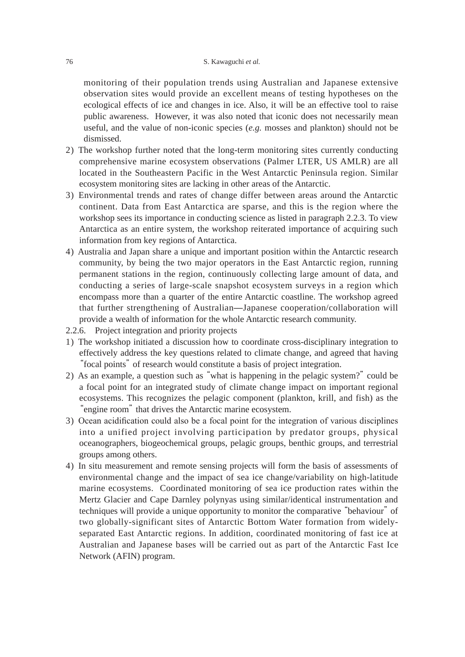monitoring of their population trends using Australian and Japanese extensive observation sites would provide an excellent means of testing hypotheses on the ecological effects of ice and changes in ice. Also, it will be an effective tool to raise public awareness. However, it was also noted that iconic does not necessarily mean useful, and the value of non-iconic species (*e.g.* mosses and plankton) should not be dismissed.

- 2) The workshop further noted that the long-term monitoring sites currently conducting comprehensive marine ecosystem observations (Palmer LTER, US AMLR) are all located in the Southeastern Pacific in the West Antarctic Peninsula region. Similar ecosystem monitoring sites are lacking in other areas of the Antarctic.
- 3) Environmental trends and rates of change differ between areas around the Antarctic continent. Data from East Antarctica are sparse, and this is the region where the workshop sees its importance in conducting science as listed in paragraph 2.2.3. To view Antarctica as an entire system, the workshop reiterated importance of acquiring such information from key regions of Antarctica.
- 4) Australia and Japan share a unique and important position within the Antarctic research community, by being the two major operators in the East Antarctic region, running permanent stations in the region, continuously collecting large amount of data, and conducting a series of large-scale snapshot ecosystem surveys in a region which encompass more than a quarter of the entire Antarctic coastline. The workshop agreed that further strengthening of Australian—Japanese cooperation/collaboration will provide a wealth of information for the whole Antarctic research community.
- 2.2.6. Project integration and priority projects
- 1) The workshop initiated a discussion how to coordinate cross-disciplinary integration to effectively address the key questions related to climate change, and agreed that having "focal points" of research would constitute a basis of project integration.
- 2) As an example, a question such as "what is happening in the pelagic system?" could be a focal point for an integrated study of climate change impact on important regional ecosystems. This recognizes the pelagic component (plankton, krill, and fish) as the "engine room" that drives the Antarctic marine ecosystem.
- 3) Ocean acidification could also be a focal point for the integration of various disciplines into a unified project involving participation by predator groups, physical oceanographers, biogeochemical groups, pelagic groups, benthic groups, and terrestrial groups among others.
- 4) In situ measurement and remote sensing projects will form the basis of assessments of environmental change and the impact of sea ice change/variability on high-latitude marine ecosystems. Coordinated monitoring of sea ice production rates within the Mertz Glacier and Cape Darnley polynyas using similar/identical instrumentation and techniques will provide a unique opportunity to monitor the comparative "behaviour" of two globally-significant sites of Antarctic Bottom Water formation from widelyseparated East Antarctic regions. In addition, coordinated monitoring of fast ice at Australian and Japanese bases will be carried out as part of the Antarctic Fast Ice Network (AFIN) program.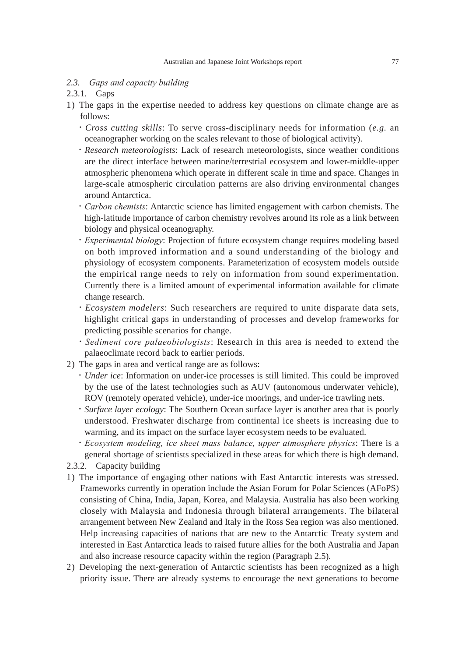#### *2.3. Gaps and capacity building*

#### 2.3.1. Gaps

- 1) The gaps in the expertise needed to address key questions on climate change are as follows:
	- ・*Cross cutting skills*: To serve cross-disciplinary needs for information (*e.g.* an oceanographer working on the scales relevant to those of biological activity).
	- ・*Research meteorologists*: Lack of research meteorologists, since weather conditions are the direct interface between marine/terrestrial ecosystem and lower-middle-upper atmospheric phenomena which operate in different scale in time and space. Changes in large-scale atmospheric circulation patterns are also driving environmental changes around Antarctica.
	- ・*Carbon chemists*: Antarctic science has limited engagement with carbon chemists. The high-latitude importance of carbon chemistry revolves around its role as a link between biology and physical oceanography.
	- ・*Experimental biology*: Projection of future ecosystem change requires modeling based on both improved information and a sound understanding of the biology and physiology of ecosystem components. Parameterization of ecosystem models outside the empirical range needs to rely on information from sound experimentation. Currently there is a limited amount of experimental information available for climate change research.
	- ・*Ecosystem modelers*: Such researchers are required to unite disparate data sets, highlight critical gaps in understanding of processes and develop frameworks for predicting possible scenarios for change.
	- ・*Sediment core palaeobiologists*: Research in this area is needed to extend the palaeoclimate record back to earlier periods.
- 2) The gaps in area and vertical range are as follows:
	- ・*Under ice*: Information on under-ice processes is still limited. This could be improved by the use of the latest technologies such as AUV (autonomous underwater vehicle), ROV (remotely operated vehicle), under-ice moorings, and under-ice trawling nets.
	- ・*Surface layer ecology*: The Southern Ocean surface layer is another area that is poorly understood. Freshwater discharge from continental ice sheets is increasing due to warming, and its impact on the surface layer ecosystem needs to be evaluated.
	- ・*Ecosystem modeling, ice sheet mass balance, upper atmosphere physics*: There is a general shortage of scientists specialized in these areas for which there is high demand.
- 2.3.2. Capacity building
- 1) The importance of engaging other nations with East Antarctic interests was stressed. Frameworks currently in operation include the Asian Forum for Polar Sciences (AFoPS) consisting of China, India, Japan, Korea, and Malaysia. Australia has also been working closely with Malaysia and Indonesia through bilateral arrangements. The bilateral arrangement between New Zealand and Italy in the Ross Sea region was also mentioned. Help increasing capacities of nations that are new to the Antarctic Treaty system and interested in East Antarctica leads to raised future allies for the both Australia and Japan and also increase resource capacity within the region (Paragraph 2.5).
- 2) Developing the next-generation of Antarctic scientists has been recognized as a high priority issue. There are already systems to encourage the next generations to become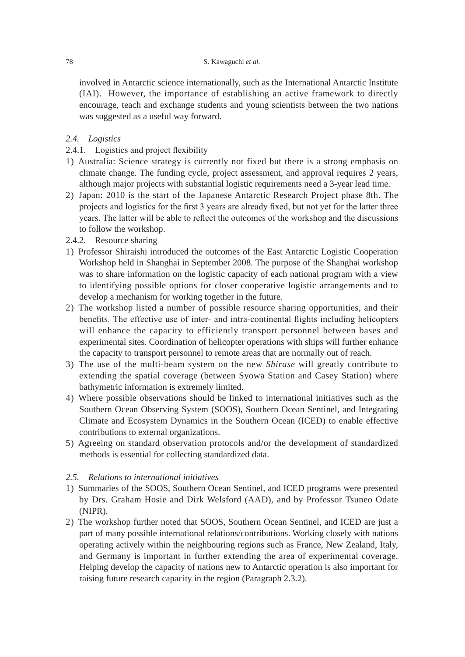involved in Antarctic science internationally, such as the International Antarctic Institute (IAI). However, the importance of establishing an active framework to directly encourage, teach and exchange students and young scientists between the two nations was suggested as a useful way forward.

### *2.4. Logistics*

- 2.4.1. Logistics and project flexibility
- 1) Australia: Science strategy is currently not fixed but there is a strong emphasis on climate change. The funding cycle, project assessment, and approval requires 2 years, although major projects with substantial logistic requirements need a 3-year lead time.
- 2) Japan: 2010 is the start of the Japanese Antarctic Research Project phase 8th. The projects and logistics for the first 3 years are already fixed, but not yet for the latter three years. The latter will be able to reflect the outcomes of the workshop and the discussions to follow the workshop.
- 2.4.2. Resource sharing
- 1) Professor Shiraishi introduced the outcomes of the East Antarctic Logistic Cooperation Workshop held in Shanghai in September 2008. The purpose of the Shanghai workshop was to share information on the logistic capacity of each national program with a view to identifying possible options for closer cooperative logistic arrangements and to develop a mechanism for working together in the future.
- 2) The workshop listed a number of possible resource sharing opportunities, and their benefits. The effective use of inter- and intra-continental flights including helicopters will enhance the capacity to efficiently transport personnel between bases and experimental sites. Coordination of helicopter operations with ships will further enhance the capacity to transport personnel to remote areas that are normally out of reach.
- 3) The use of the multi-beam system on the new *Shirase* will greatly contribute to extending the spatial coverage (between Syowa Station and Casey Station) where bathymetric information is extremely limited.
- 4) Where possible observations should be linked to international initiatives such as the Southern Ocean Observing System (SOOS), Southern Ocean Sentinel, and Integrating Climate and Ecosystem Dynamics in the Southern Ocean (ICED) to enable effective contributions to external organizations.
- 5) Agreeing on standard observation protocols and/or the development of standardized methods is essential for collecting standardized data.

# *2.5. Relations to international initiatives*

- 1) Summaries of the SOOS, Southern Ocean Sentinel, and ICED programs were presented by Drs. Graham Hosie and Dirk Welsford (AAD), and by Professor Tsuneo Odate (NIPR).
- 2) The workshop further noted that SOOS, Southern Ocean Sentinel, and ICED are just a part of many possible international relations/contributions. Working closely with nations operating actively within the neighbouring regions such as France, New Zealand, Italy, and Germany is important in further extending the area of experimental coverage. Helping develop the capacity of nations new to Antarctic operation is also important for raising future research capacity in the region (Paragraph 2.3.2).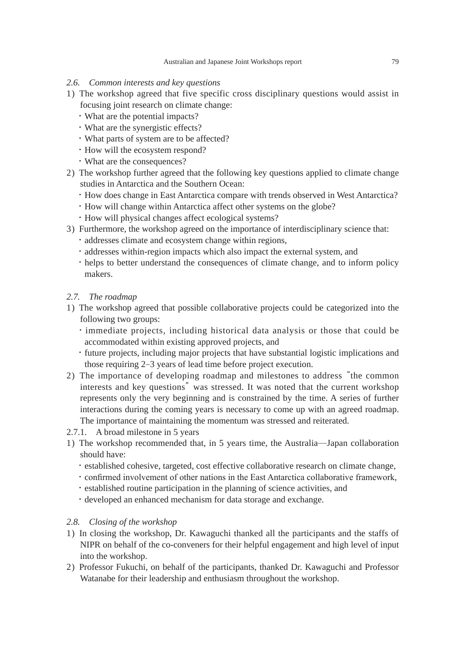# *2.6. Common interests and key questions*

- 1) The workshop agreed that five specific cross disciplinary questions would assist in focusing joint research on climate change:
	- ・What are the potential impacts?
	- ・What are the synergistic effects?
	- ・What parts of system are to be affected?
	- ・How will the ecosystem respond?
	- ・What are the consequences?
- 2) The workshop further agreed that the following key questions applied to climate change studies in Antarctica and the Southern Ocean:
	- ・How does change in East Antarctica compare with trends observed in West Antarctica?
	- ・How will change within Antarctica affect other systems on the globe?
	- ・How will physical changes affect ecological systems?
- 3) Furthermore, the workshop agreed on the importance of interdisciplinary science that:
	- ・addresses climate and ecosystem change within regions,
	- ・addresses within-region impacts which also impact the external system, and
	- ・helps to better understand the consequences of climate change, and to inform policy makers.

# *2.7. The roadmap*

- 1) The workshop agreed that possible collaborative projects could be categorized into the following two groups:
	- ・immediate projects, including historical data analysis or those that could be accommodated within existing approved projects, and
	- ・future projects, including major projects that have substantial logistic implications and those requiring 2–3 years of lead time before project execution.
- 2) The importance of developing roadmap and milestones to address "the common interests and key questions" was stressed. It was noted that the current workshop represents only the very beginning and is constrained by the time. A series of further interactions during the coming years is necessary to come up with an agreed roadmap. The importance of maintaining the momentum was stressed and reiterated.
- 2.7.1. A broad milestone in 5 years
- 1) The workshop recommended that, in 5 years time, the Australia—Japan collaboration should have:
	- ・established cohesive, targeted, cost effective collaborative research on climate change,
	- ・confirmed involvement of other nations in the East Antarctica collaborative framework,
	- ・established routine participation in the planning of science activities, and
	- ・developed an enhanced mechanism for data storage and exchange.

# *2.8. Closing of the workshop*

- 1) In closing the workshop, Dr. Kawaguchi thanked all the participants and the staffs of NIPR on behalf of the co-conveners for their helpful engagement and high level of input into the workshop.
- 2) Professor Fukuchi, on behalf of the participants, thanked Dr. Kawaguchi and Professor Watanabe for their leadership and enthusiasm throughout the workshop.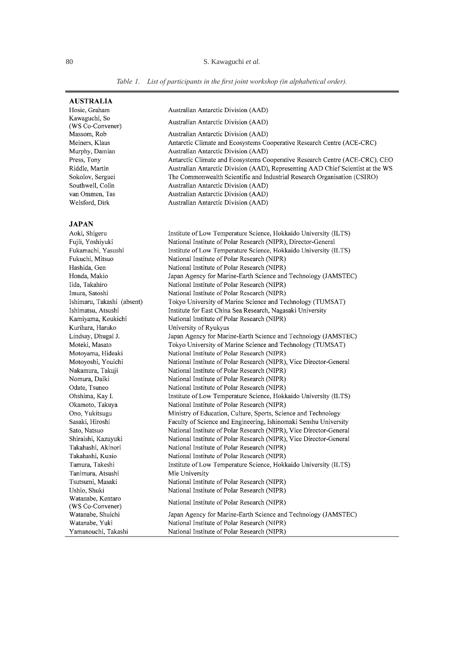*Table 1. List of participants in the first joint workshop (in alphabetical order).*

Antarctic Climate and Ecosystems Cooperative Research Centre (ACE-CRC)

The Commonwealth Scientific and Industrial Research Organisation (CSIRO)

Antarctic Climate and Ecosystems Cooperative Research Centre (ACE-CRC), CEO

Australian Antarctic Division (AAD), Representing AAD Chief Scientist at the WS

Australian Antarctic Division (AAD)

Australian Antarctic Division (AAD)

Australian Antarctic Division (AAD)

Australian Antarctic Division (AAD)

Australian Antarctic Division (AAD) Australian Antarctic Division (AAD)

Australian Antarctic Division (AAD)

#### **AUSTRALIA**

Hosie. Graham Kawaguchi, So (WS Co-Convener) Massom, Rob Meiners, Klaus Murphy, Damian Press, Tony Riddle, Martin Sokolov, Serguei Southwell, Colin van Ommen. Tas Welsford, Dirk

#### **JAPAN** Aoki, Shigeru

Fujii, Yoshiyuki

Fukuchi, Mitsuo

Hashida, Gen

Honda, Makio

Iida, Takahiro

Imura, Satoshi

Ishimatsu, Atsushi

Kurihara, Haruko

Moteki, Masato

Lindsay, Dhugal J.

Nakamura, Takuji

Nomura, Daiki

Odate, Tsuneo

Ohshima, Kay I.

Okamoto, Takuya

Ono, Yukitsugu

Sasaki, Hiroshi

Takahashi, Kunio

Tamura, Takeshi

Tanimura, Atsushi

Tsutsumi, Masaki

Watanabe, Shuichi

Watanabe, Yuki

Ushio, Shuki

Sato, Natsuo

Institute of Low Temperature Science, Hokkaido University (ILTS) National Institute of Polar Research (NIPR), Director-General Fukamachi, Yasushi Institute of Low Temperature Science, Hokkaido University (ILTS) National Institute of Polar Research (NIPR) National Institute of Polar Research (NIPR) Japan Agency for Marine-Earth Science and Technology (JAMSTEC) National Institute of Polar Research (NIPR) National Institute of Polar Research (NIPR) Ishimaru, Takashi (absent) Tokyo University of Marine Science and Technology (TUMSAT) Institute for East China Sea Research, Nagasaki University Kamiyama, Koukichi National Institute of Polar Research (NIPR) University of Ryukyus Japan Agency for Marine-Earth Science and Technology (JAMSTEC) Tokyo University of Marine Science and Technology (TUMSAT) National Institute of Polar Research (NIPR) Motoyama, Hideaki Motoyoshi, Youichi National Institute of Polar Research (NIPR), Vice Director-General National Institute of Polar Research (NIPR) National Institute of Polar Research (NIPR) National Institute of Polar Research (NIPR) Institute of Low Temperature Science, Hokkaido University (ILTS) National Institute of Polar Research (NIPR) Ministry of Education, Culture, Sports, Science and Technology Faculty of Science and Engineering, Ishinomaki Senshu University National Institute of Polar Research (NIPR), Vice Director-General Shiraishi, Kazuyuki National Institute of Polar Research (NIPR), Vice Director-General Takahashi, Akinori National Institute of Polar Research (NIPR) National Institute of Polar Research (NIPR) Institute of Low Temperature Science, Hokkaido University (ILTS) Mie University National Institute of Polar Research (NIPR) National Institute of Polar Research (NIPR) Watanabe, Kentaro National Institute of Polar Research (NIPR) (WS Co-Convener) Japan Agency for Marine-Earth Science and Technology (JAMSTEC) National Institute of Polar Research (NIPR) Yamanouchi, Takashi National Institute of Polar Research (NIPR)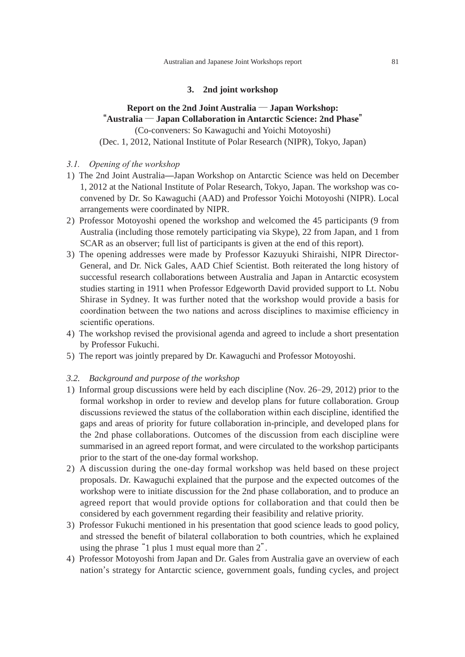### **3. 2nd joint workshop**

# **Report on the 2nd Joint Australia ─ Japan Workshop: "Australia ─ Japan Collaboration in Antarctic Science: 2nd Phase"** (Co-conveners: So Kawaguchi and Yoichi Motoyoshi)

(Dec. 1, 2012, National Institute of Polar Research (NIPR), Tokyo, Japan)

- *3.1. Opening of the workshop*
- 1) The 2nd Joint Australia—Japan Workshop on Antarctic Science was held on December 1, 2012 at the National Institute of Polar Research, Tokyo, Japan. The workshop was coconvened by Dr. So Kawaguchi (AAD) and Professor Yoichi Motoyoshi (NIPR). Local arrangements were coordinated by NIPR.
- 2) Professor Motoyoshi opened the workshop and welcomed the 45 participants (9 from Australia (including those remotely participating via Skype), 22 from Japan, and 1 from SCAR as an observer; full list of participants is given at the end of this report).
- 3) The opening addresses were made by Professor Kazuyuki Shiraishi, NIPR Director-General, and Dr. Nick Gales, AAD Chief Scientist. Both reiterated the long history of successful research collaborations between Australia and Japan in Antarctic ecosystem studies starting in 1911 when Professor Edgeworth David provided support to Lt. Nobu Shirase in Sydney. It was further noted that the workshop would provide a basis for coordination between the two nations and across disciplines to maximise efficiency in scientific operations.
- 4) The workshop revised the provisional agenda and agreed to include a short presentation by Professor Fukuchi.
- 5) The report was jointly prepared by Dr. Kawaguchi and Professor Motoyoshi.

### *3.2. Background and purpose of the workshop*

- 1) Informal group discussions were held by each discipline (Nov. 26–29, 2012) prior to the formal workshop in order to review and develop plans for future collaboration. Group discussions reviewed the status of the collaboration within each discipline, identified the gaps and areas of priority for future collaboration in-principle, and developed plans for the 2nd phase collaborations. Outcomes of the discussion from each discipline were summarised in an agreed report format, and were circulated to the workshop participants prior to the start of the one-day formal workshop.
- 2) A discussion during the one-day formal workshop was held based on these project proposals. Dr. Kawaguchi explained that the purpose and the expected outcomes of the workshop were to initiate discussion for the 2nd phase collaboration, and to produce an agreed report that would provide options for collaboration and that could then be considered by each government regarding their feasibility and relative priority.
- 3) Professor Fukuchi mentioned in his presentation that good science leads to good policy, and stressed the benefit of bilateral collaboration to both countries, which he explained using the phrase "1 plus 1 must equal more than 2".
- 4) Professor Motoyoshi from Japan and Dr. Gales from Australia gave an overview of each nation's strategy for Antarctic science, government goals, funding cycles, and project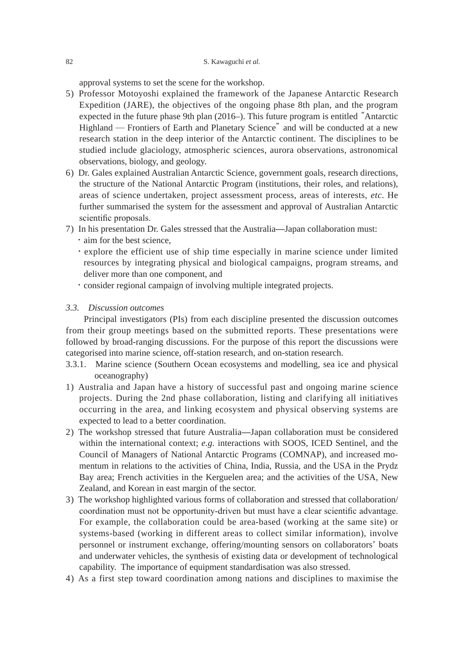approval systems to set the scene for the workshop.

- 5) Professor Motoyoshi explained the framework of the Japanese Antarctic Research Expedition (JARE), the objectives of the ongoing phase 8th plan, and the program expected in the future phase 9th plan (2016–). This future program is entitled "Antarctic Highland ─ Frontiers of Earth and Planetary Science" and will be conducted at a new research station in the deep interior of the Antarctic continent. The disciplines to be studied include glaciology, atmospheric sciences, aurora observations, astronomical observations, biology, and geology.
- 6) Dr. Gales explained Australian Antarctic Science, government goals, research directions, the structure of the National Antarctic Program (institutions, their roles, and relations), areas of science undertaken, project assessment process, areas of interests, *etc*. He further summarised the system for the assessment and approval of Australian Antarctic scientific proposals.
- 7) In his presentation Dr. Gales stressed that the Australia—Japan collaboration must:
	- ・aim for the best science,
	- ・explore the efficient use of ship time especially in marine science under limited resources by integrating physical and biological campaigns, program streams, and deliver more than one component, and
	- ・consider regional campaign of involving multiple integrated projects.

### *3.3. Discussion outcomes*

 Principal investigators (PIs) from each discipline presented the discussion outcomes from their group meetings based on the submitted reports. These presentations were followed by broad-ranging discussions. For the purpose of this report the discussions were categorised into marine science, off-station research, and on-station research.

- 3.3.1. Marine science (Southern Ocean ecosystems and modelling, sea ice and physical oceanography)
- 1) Australia and Japan have a history of successful past and ongoing marine science projects. During the 2nd phase collaboration, listing and clarifying all initiatives occurring in the area, and linking ecosystem and physical observing systems are expected to lead to a better coordination.
- 2) The workshop stressed that future Australia—Japan collaboration must be considered within the international context; *e.g.* interactions with SOOS, ICED Sentinel, and the Council of Managers of National Antarctic Programs (COMNAP), and increased momentum in relations to the activities of China, India, Russia, and the USA in the Prydz Bay area; French activities in the Kerguelen area; and the activities of the USA, New Zealand, and Korean in east margin of the sector.
- 3) The workshop highlighted various forms of collaboration and stressed that collaboration/ coordination must not be opportunity-driven but must have a clear scientific advantage. For example, the collaboration could be area-based (working at the same site) or systems-based (working in different areas to collect similar information), involve personnel or instrument exchange, offering/mounting sensors on collaborators' boats and underwater vehicles, the synthesis of existing data or development of technological capability. The importance of equipment standardisation was also stressed.
- 4) As a first step toward coordination among nations and disciplines to maximise the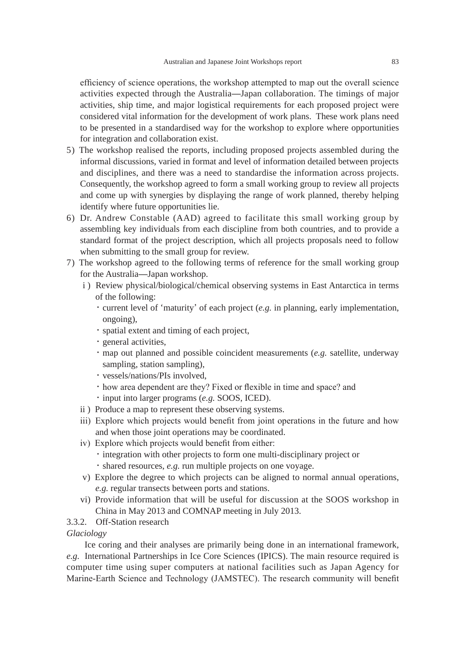efficiency of science operations, the workshop attempted to map out the overall science activities expected through the Australia—Japan collaboration. The timings of major activities, ship time, and major logistical requirements for each proposed project were considered vital information for the development of work plans. These work plans need to be presented in a standardised way for the workshop to explore where opportunities for integration and collaboration exist.

- 5) The workshop realised the reports, including proposed projects assembled during the informal discussions, varied in format and level of information detailed between projects and disciplines, and there was a need to standardise the information across projects. Consequently, the workshop agreed to form a small working group to review all projects and come up with synergies by displaying the range of work planned, thereby helping identify where future opportunities lie.
- 6) Dr. Andrew Constable (AAD) agreed to facilitate this small working group by assembling key individuals from each discipline from both countries, and to provide a standard format of the project description, which all projects proposals need to follow when submitting to the small group for review.
- 7) The workshop agreed to the following terms of reference for the small working group for the Australia—Japan workshop.
	- i ) Review physical/biological/chemical observing systems in East Antarctica in terms of the following:
		- ・current level of 'maturity' of each project (*e.g.* in planning, early implementation, ongoing),
		- ・spatial extent and timing of each project,
		- ・general activities,
		- ・map out planned and possible coincident measurements (*e.g.* satellite, underway sampling, station sampling),
		- ・vessels/nations/PIs involved,
		- ・how area dependent are they? Fixed or flexible in time and space? and
		- ・input into larger programs (*e.g.* SOOS, ICED).
	- ii ) Produce a map to represent these observing systems.
	- iii) Explore which projects would benefit from joint operations in the future and how and when those joint operations may be coordinated.
	- iv) Explore which projects would benefit from either:
		- ・integration with other projects to form one multi-disciplinary project or
		- ・shared resources, *e.g.* run multiple projects on one voyage.
	- v) Explore the degree to which projects can be aligned to normal annual operations, *e.g.* regular transects between ports and stations.
	- vi) Provide information that will be useful for discussion at the SOOS workshop in China in May 2013 and COMNAP meeting in July 2013.
- 3.3.2. Off-Station research

*Glaciology*

 Ice coring and their analyses are primarily being done in an international framework, *e.g.* International Partnerships in Ice Core Sciences (IPICS). The main resource required is computer time using super computers at national facilities such as Japan Agency for Marine-Earth Science and Technology (JAMSTEC). The research community will benefit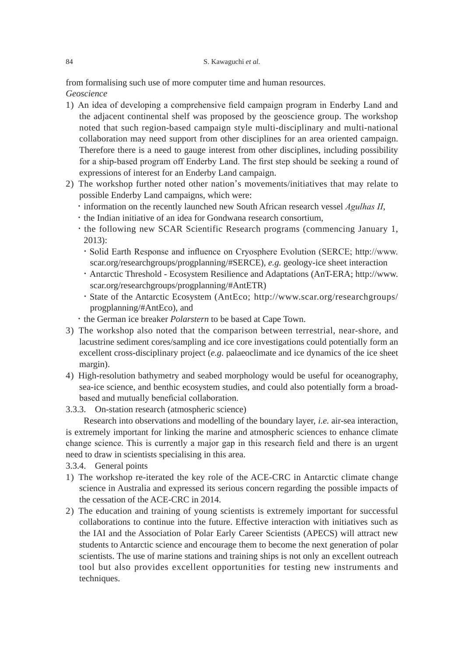from formalising such use of more computer time and human resources.

*Geoscience*

- 1) An idea of developing a comprehensive field campaign program in Enderby Land and the adjacent continental shelf was proposed by the geoscience group. The workshop noted that such region-based campaign style multi-disciplinary and multi-national collaboration may need support from other disciplines for an area oriented campaign. Therefore there is a need to gauge interest from other disciplines, including possibility for a ship-based program off Enderby Land. The first step should be seeking a round of expressions of interest for an Enderby Land campaign.
- 2) The workshop further noted other nation's movements/initiatives that may relate to possible Enderby Land campaigns, which were:
	- ・information on the recently launched new South African research vessel *Agulhas II*,
	- ・the Indian initiative of an idea for Gondwana research consortium,
	- ・the following new SCAR Scientific Research programs (commencing January 1, 2013):
		- ・Solid Earth Response and influence on Cryosphere Evolution (SERCE; http://www. scar.org/researchgroups/progplanning/#SERCE), *e.g.* geology-ice sheet interaction
		- ・Antarctic Threshold Ecosystem Resilience and Adaptations (AnT-ERA; http://www. scar.org/researchgroups/progplanning/#AntETR)
		- ・State of the Antarctic Ecosystem (AntEco; http://www.scar.org/researchgroups/ progplanning/#AntEco), and
	- ・the German ice breaker *Polarstern* to be based at Cape Town.
- 3) The workshop also noted that the comparison between terrestrial, near-shore, and lacustrine sediment cores/sampling and ice core investigations could potentially form an excellent cross-disciplinary project (*e.g.* palaeoclimate and ice dynamics of the ice sheet margin).
- 4) High-resolution bathymetry and seabed morphology would be useful for oceanography, sea-ice science, and benthic ecosystem studies, and could also potentially form a broadbased and mutually beneficial collaboration.
- 3.3.3. On-station research (atmospheric science)

 Research into observations and modelling of the boundary layer, *i.e.* air-sea interaction, is extremely important for linking the marine and atmospheric sciences to enhance climate change science. This is currently a major gap in this research field and there is an urgent need to draw in scientists specialising in this area.

- 3.3.4. General points
- 1) The workshop re-iterated the key role of the ACE-CRC in Antarctic climate change science in Australia and expressed its serious concern regarding the possible impacts of the cessation of the ACE-CRC in 2014.
- 2) The education and training of young scientists is extremely important for successful collaborations to continue into the future. Effective interaction with initiatives such as the IAI and the Association of Polar Early Career Scientists (APECS) will attract new students to Antarctic science and encourage them to become the next generation of polar scientists. The use of marine stations and training ships is not only an excellent outreach tool but also provides excellent opportunities for testing new instruments and techniques.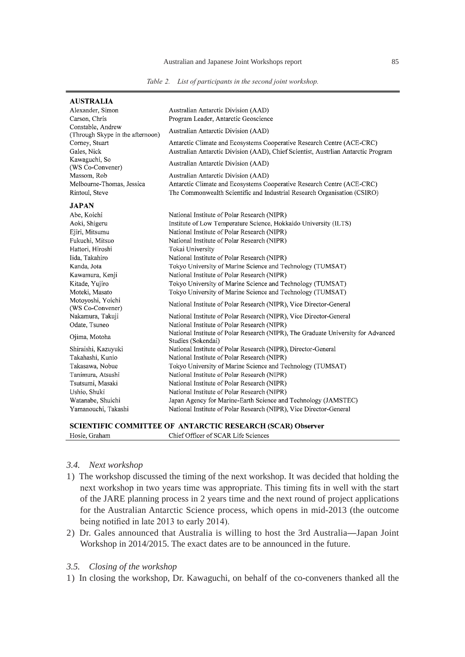*Table 2. List of participants in the second joint workshop.*

| <b>AUSTRALIA</b>                                      |                                                                                                         |
|-------------------------------------------------------|---------------------------------------------------------------------------------------------------------|
| Alexander, Simon                                      | Australian Antarctic Division (AAD)                                                                     |
| Carson, Chris                                         | Program Leader, Antarctic Geoscience                                                                    |
| Constable, Andrew<br>(Through Skype in the afternoon) | Australian Antarctic Division (AAD)                                                                     |
| Corney, Stuart                                        | Antarctic Climate and Ecosystems Cooperative Research Centre (ACE-CRC)                                  |
| Gales, Nick                                           | Australian Antarctic Division (AAD), Chief Scientist, Austrilian Antarctic Program                      |
| Kawaguchi, So<br>(WS Co-Convener)                     | Australian Antarctic Division (AAD)                                                                     |
| Massom, Rob                                           | Australian Antarctic Division (AAD)                                                                     |
| Melbourne-Thomas, Jessica                             | Antarctic Climate and Ecosystems Cooperative Research Centre (ACE-CRC)                                  |
| Rintoul, Steve                                        | The Commonwealth Scientific and Industrial Research Organisation (CSIRO)                                |
| <b>JAPAN</b>                                          |                                                                                                         |
| Abe, Koichi                                           | National Institute of Polar Research (NIPR)                                                             |
| Aoki, Shigeru                                         | Institute of Low Temperature Science, Hokkaido University (ILTS)                                        |
| Ejiri, Mitsumu                                        | National Institute of Polar Research (NIPR)                                                             |
| Fukuchi, Mitsuo                                       | National Institute of Polar Research (NIPR)                                                             |
| Hattori, Hiroshi                                      | Tokai University                                                                                        |
| Iida, Takahiro                                        | National Institute of Polar Research (NIPR)                                                             |
| Kanda, Jota                                           | Tokyo University of Marine Science and Technology (TUMSAT)                                              |
| Kawamura, Kenji                                       | National Institute of Polar Research (NIPR)                                                             |
| Kitade, Yujiro                                        | Tokyo University of Marine Science and Technology (TUMSAT)                                              |
| Moteki, Masato                                        | Tokyo University of Marine Science and Technology (TUMSAT)                                              |
| Motoyoshi, Yoichi<br>(WS Co-Convener)                 | National Institute of Polar Research (NIPR), Vice Director-General                                      |
| Nakamura, Takuji                                      | National Institute of Polar Research (NIPR), Vice Director-General                                      |
| Odate, Tsuneo                                         | National Institute of Polar Research (NIPR)                                                             |
| Ojima, Motoha                                         | National Institute of Polar Research (NIPR), The Graduate University for Advanced<br>Studies (Sokendai) |
| Shiraishi, Kazuyuki                                   | National Institute of Polar Research (NIPR), Director-General                                           |
| Takahashi, Kunio                                      | National Institute of Polar Research (NIPR)                                                             |
| Takasawa, Nobue                                       | Tokyo University of Marine Science and Technology (TUMSAT)                                              |
| Tanimura, Atsushi                                     | National Institute of Polar Research (NIPR)                                                             |
| Tsutsumi, Masaki                                      | National Institute of Polar Research (NIPR)                                                             |
| Ushio, Shuki                                          | National Institute of Polar Research (NIPR)                                                             |
| Watanabe, Shuichi                                     | Japan Agency for Marine-Earth Science and Technology (JAMSTEC)                                          |
| Yamanouchi, Takashi                                   | National Institute of Polar Research (NIPR), Vice Director-General                                      |
|                                                       |                                                                                                         |

# SCIENTIFIC COMMITTEE OF ANTARCTIC RESEARCH (SCAR) Observer

| ---- | $-0.05$              |
|------|----------------------|
| HO.  | Officer of SCAR Life |
| чан. | Sciences             |
|      | :hiet                |
|      |                      |
|      |                      |

# *3.4. Next workshop*

- 1) The workshop discussed the timing of the next workshop. It was decided that holding the next workshop in two years time was appropriate. This timing fits in well with the start of the JARE planning process in 2 years time and the next round of project applications for the Australian Antarctic Science process, which opens in mid-2013 (the outcome being notified in late 2013 to early 2014).
- 2) Dr. Gales announced that Australia is willing to host the 3rd Australia—Japan Joint Workshop in 2014/2015. The exact dates are to be announced in the future.

### *3.5. Closing of the workshop*

1) In closing the workshop, Dr. Kawaguchi, on behalf of the co-conveners thanked all the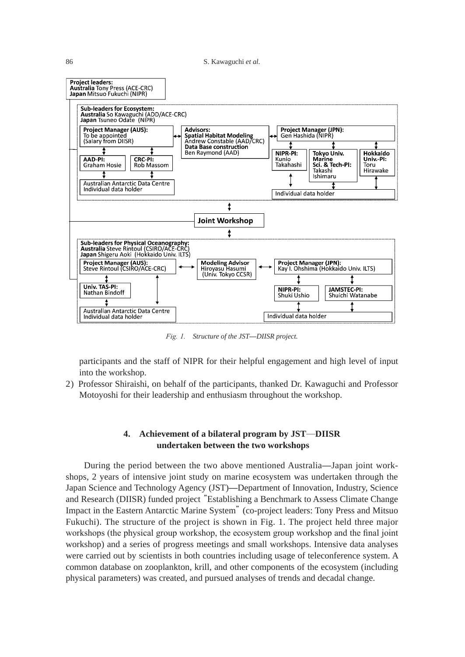

*Fig. 1. Structure of the JST*—*DIISR project.*

participants and the staff of NIPR for their helpful engagement and high level of input into the workshop.

2) Professor Shiraishi, on behalf of the participants, thanked Dr. Kawaguchi and Professor Motoyoshi for their leadership and enthusiasm throughout the workshop.

# **4. Achievement of a bilateral program by JST─DIISR undertaken between the two workshops**

 During the period between the two above mentioned Australia—Japan joint workshops, 2 years of intensive joint study on marine ecosystem was undertaken through the Japan Science and Technology Agency (JST)—Department of Innovation, Industry, Science and Research (DIISR) funded project "Establishing a Benchmark to Assess Climate Change Impact in the Eastern Antarctic Marine System" (co-project leaders: Tony Press and Mitsuo Fukuchi). The structure of the project is shown in Fig. 1. The project held three major workshops (the physical group workshop, the ecosystem group workshop and the final joint workshop) and a series of progress meetings and small workshops. Intensive data analyses were carried out by scientists in both countries including usage of teleconference system. A common database on zooplankton, krill, and other components of the ecosystem (including physical parameters) was created, and pursued analyses of trends and decadal change.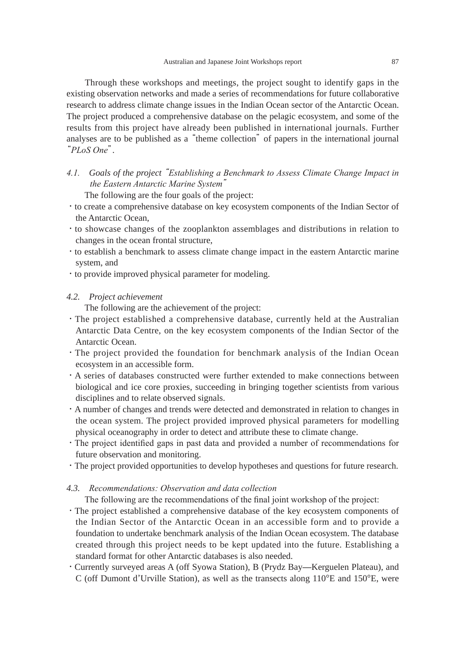Through these workshops and meetings, the project sought to identify gaps in the existing observation networks and made a series of recommendations for future collaborative research to address climate change issues in the Indian Ocean sector of the Antarctic Ocean. The project produced a comprehensive database on the pelagic ecosystem, and some of the results from this project have already been published in international journals. Further analyses are to be published as a "theme collection" of papers in the international journal "*PLoS One*".

*4.1. Goals of the project* "*Establishing a Benchmark to Assess Climate Change Impact in the Eastern Antarctic Marine System*"

The following are the four goals of the project:

- ・to create a comprehensive database on key ecosystem components of the Indian Sector of the Antarctic Ocean,
- ・to showcase changes of the zooplankton assemblages and distributions in relation to changes in the ocean frontal structure,
- ・to establish a benchmark to assess climate change impact in the eastern Antarctic marine system, and
- ・to provide improved physical parameter for modeling.

### *4.2. Project achievement*

The following are the achievement of the project:

- ・The project established a comprehensive database, currently held at the Australian Antarctic Data Centre, on the key ecosystem components of the Indian Sector of the Antarctic Ocean.
- ・The project provided the foundation for benchmark analysis of the Indian Ocean ecosystem in an accessible form.
- ・A series of databases constructed were further extended to make connections between biological and ice core proxies, succeeding in bringing together scientists from various disciplines and to relate observed signals.
- ・A number of changes and trends were detected and demonstrated in relation to changes in the ocean system. The project provided improved physical parameters for modelling physical oceanography in order to detect and attribute these to climate change.
- ・The project identified gaps in past data and provided a number of recommendations for future observation and monitoring.
- ・The project provided opportunities to develop hypotheses and questions for future research.

### *4.3. Recommendations: Observation and data collection*

The following are the recommendations of the final joint workshop of the project:

- ・The project established a comprehensive database of the key ecosystem components of the Indian Sector of the Antarctic Ocean in an accessible form and to provide a foundation to undertake benchmark analysis of the Indian Ocean ecosystem. The database created through this project needs to be kept updated into the future. Establishing a standard format for other Antarctic databases is also needed.
- ・Currently surveyed areas A (off Syowa Station), B (Prydz Bay—Kerguelen Plateau), and C (off Dumont d'Urville Station), as well as the transects along  $110^{\circ}E$  and  $150^{\circ}E$ , were